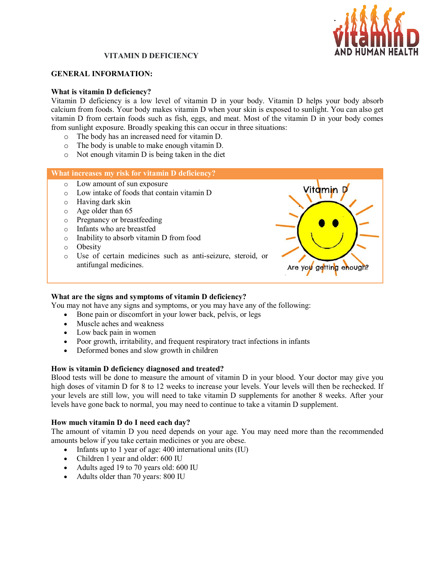

# **VITAMIN D DEFICIENCY**

#### **GENERAL INFORMATION:**

#### **What is vitamin D deficiency?**

Vitamin D deficiency is a low level of vitamin D in your body. Vitamin D helps your body absorb calcium from foods. Your body makes vitamin D when your skin is exposed to sunlight. You can also get vitamin D from certain foods such as fish, eggs, and meat. Most of the vitamin D in your body comes from sunlight exposure. Broadly speaking this can occur in three situations:

- o The body has an increased need for vitamin D.
- o The body is unable to make enough vitamin D.
- o Not enough vitamin D is being taken in the diet

#### **What increases my risk for vitamin D deficiency?**

- o Low amount of sun exposure
- o Low intake of foods that contain vitamin D
- o Having dark skin
- o Age older than 65
- o Pregnancy or breastfeeding
- o Infants who are breastfed
- o Inability to absorb vitamin D from food
- o Obesity
- o Use of certain medicines such as anti-seizure, steroid, or antifungal medicines.



#### **What are the signs and symptoms of vitamin D deficiency?**

You may not have any signs and symptoms, or you may have any of the following:

- Bone pain or discomfort in your lower back, pelvis, or legs
- Muscle aches and weakness
- Low back pain in women
- Poor growth, irritability, and frequent respiratory tract infections in infants
- Deformed bones and slow growth in children

## **How is vitamin D deficiency diagnosed and treated?**

Blood tests will be done to measure the amount of vitamin D in your blood. Your doctor may give you high doses of vitamin D for 8 to 12 weeks to increase your levels. Your levels will then be rechecked. If your levels are still low, you will need to take vitamin D supplements for another 8 weeks. After your levels have gone back to normal, you may need to continue to take a vitamin D supplement.

## **How much vitamin D do I need each day?**

The amount of vitamin D you need depends on your age. You may need more than the recommended amounts below if you take certain medicines or you are obese.

- Infants up to 1 year of age: 400 international units (IU)
- Children 1 year and older: 600 IU
- Adults aged 19 to 70 years old: 600 IU
- Adults older than 70 years: 800 IU